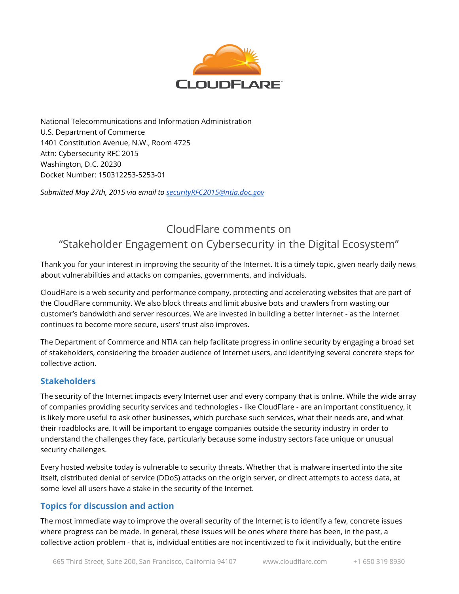

National Telecommunications and Information Administration U.S. Department of Commerce 1401 Constitution Avenue, N.W., Room 4725 Attn: Cybersecurity RFC 2015 Washington, D.C. 20230 Docket Number: 150312253-5253-01

Submitted May 27th, 2015 via email to [securityRFC2015@ntia.doc.gov](mailto:securityRFC2015@ntia.doc.gov)

# CloudFlare comments on "Stakeholder Engagement on Cybersecurity in the Digital Ecosystem"

Thank you for your interest in improving the security of the Internet. It is a timely topic, given nearly daily news about vulnerabilities and attacks on companies, governments, and individuals.

CloudFlare is a web security and performance company, protecting and accelerating websites that are part of the CloudFlare community. We also block threats and limit abusive bots and crawlers from wasting our customer's bandwidth and server resources. We are invested in building a better Internet - as the Internet continues to become more secure, users' trust also improves.

The Department of Commerce and NTIA can help facilitate progress in online security by engaging a broad set of stakeholders, considering the broader audience of Internet users, and identifying several concrete steps for collective action.

# **Stakeholders**

The security of the Internet impacts every Internet user and every company that is online. While the wide array of companies providing security services and technologies - like CloudFlare - are an important constituency, it is likely more useful to ask other businesses, which purchase such services, what their needs are, and what their roadblocks are. It will be important to engage companies outside the security industry in order to understand the challenges they face, particularly because some industry sectors face unique or unusual security challenges.

Every hosted website today is vulnerable to security threats. Whether that is malware inserted into the site itself, distributed denial of service (DDoS) attacks on the origin server, or direct attempts to access data, at some level all users have a stake in the security of the Internet.

# Topics for discussion and action

The most immediate way to improve the overall security of the Internet is to identify a few, concrete issues where progress can be made. In general, these issues will be ones where there has been, in the past, a collective action problem - that is, individual entities are not incentivized to fix it individually, but the entire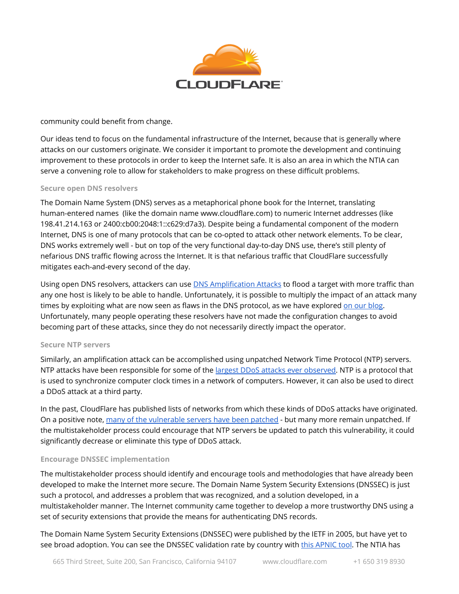

#### community could benefit from change.

Our ideas tend to focus on the fundamental infrastructure of the Internet, because that is generally where attacks on our customers originate. We consider it important to promote the development and continuing improvement to these protocols in order to keep the Internet safe. It is also an area in which the NTIA can serve a convening role to allow for stakeholders to make progress on these difficult problems.

#### Secure open DNS resolvers

The Domain Name System (DNS) serves as a metaphorical phone book for the Internet, translating human-entered names (like the domain name www.cloudflare.com) to numeric Internet addresses (like 198.41.214.163 or 2400:cb00:2048:1::c629:d7a3). Despite being a fundamental component of the modern Internet, DNS is one of many protocols that can be co-opted to attack other network elements. To be clear, DNS works extremely well - but on top of the very functional day-to-day DNS use, there's still plenty of nefarious DNS traffic flowing across the Internet. It is that nefarious traffic that CloudFlare successfully mitigates each-and-every second of the day.

Using open DNS resolvers, attackers can use **DNS [Amplification](https://blog.cloudflare.com/deep-inside-a-dns-amplification-ddos-attack/) Attacks** to flood a target with more traffic than any one host is likely to be able to handle. Unfortunately, it is possible to multiply the impact of an attack many times by exploiting what are now seen as flaws in the DNS protocol, as we have explored on our [blog.](https://blog.cloudflare.com/deep-inside-a-dns-amplification-ddos-attack/) Unfortunately, many people operating these resolvers have not made the configuration changes to avoid becoming part of these attacks, since they do not necessarily directly impact the operator.

#### Secure NTP servers

Similarly, an amplification attack can be accomplished using unpatched Network Time Protocol (NTP) servers. NTP attacks have been responsible for some of the largest DDoS attacks ever [observed](https://blog.cloudflare.com/the-ddos-that-knocked-spamhaus-offline-and-ho/). NTP is a protocol that is used to synchronize computer clock times in a network of computers. However, it can also be used to direct a DDoS attack at a third party.

In the past, CloudFlare has published lists of networks from which these kinds of DDoS attacks have originated. On a positive note, many of the [vulnerable](https://blog.cloudflare.com/good-news-vulnerable-ntp-servers-closing-down/) servers have been patched - but many more remain unpatched. If the multistakeholder process could encourage that NTP servers be updated to patch this vulnerability, it could significantly decrease or eliminate this type of DDoS attack.

#### Encourage DNSSEC implementation

The multistakeholder process should identify and encourage tools and methodologies that have already been developed to make the Internet more secure. The Domain Name System Security Extensions (DNSSEC) is just such a protocol, and addresses a problem that was recognized, and a solution developed, in a multistakeholder manner. The Internet community came together to develop a more trustworthy DNS using a set of security extensions that provide the means for authenticating DNS records.

The Domain Name System Security Extensions (DNSSEC) were published by the IETF in 2005, but have yet to see broad adoption. You can see the DNSSEC validation rate by country with this [APNIC](http://stats.labs.apnic.net/dnssec) tool. The NTIA has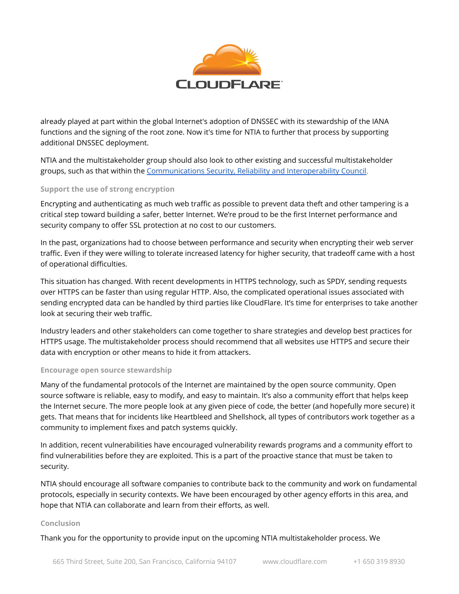

already played at part within the global Internet's adoption of DNSSEC with its stewardship of the IANA functions and the signing of the root zone. Now it's time for NTIA to further that process by supporting additional DNSSEC deployment.

NTIA and the multistakeholder group should also look to other existing and successful multistakeholder groups, such as that within the [Communications](http://transition.fcc.gov/bureaus/pshs/advisory/csric3/CSRICIII_9-12-12_WG4-FINAL-Report-DNS-Best-Practices.pdf) Security, Reliability and Interoperability Council.

## Support the use of strong encryption

Encrypting and authenticating as much web traffic as possible to prevent data theft and other tampering is a critical step toward building a safer, better Internet. We're proud to be the first Internet performance and security company to offer SSL protection at no cost to our customers.

In the past, organizations had to choose between performance and security when encrypting their web server traffic. Even if they were willing to tolerate increased latency for higher security, that tradeoff came with a host of operational difficulties.

This situation has changed. With recent developments in HTTPS technology, such as SPDY, sending requests over HTTPS can be faster than using regular HTTP. Also, the complicated operational issues associated with sending encrypted data can be handled by third parties like CloudFlare. It's time for enterprises to take another look at securing their web traffic.

Industry leaders and other stakeholders can come together to share strategies and develop best practices for HTTPS usage. The multistakeholder process should recommend that all websites use HTTPS and secure their data with encryption or other means to hide it from attackers.

## Encourage open source stewardship

Many of the fundamental protocols of the Internet are maintained by the open source community. Open source software is reliable, easy to modify, and easy to maintain. It's also a community effort that helps keep the Internet secure. The more people look at any given piece of code, the better (and hopefully more secure) it gets. That means that for incidents like Heartbleed and Shellshock, all types of contributors work together as a community to implement fixes and patch systems quickly.

In addition, recent vulnerabilities have encouraged vulnerability rewards programs and a community effort to find vulnerabilities before they are exploited. This is a part of the proactive stance that must be taken to security.

NTIA should encourage all software companies to contribute back to the community and work on fundamental protocols, especially in security contexts. We have been encouraged by other agency efforts in this area, and hope that NTIA can collaborate and learn from their efforts, as well.

#### Conclusion

Thank you for the opportunity to provide input on the upcoming NTIA multistakeholder process. We